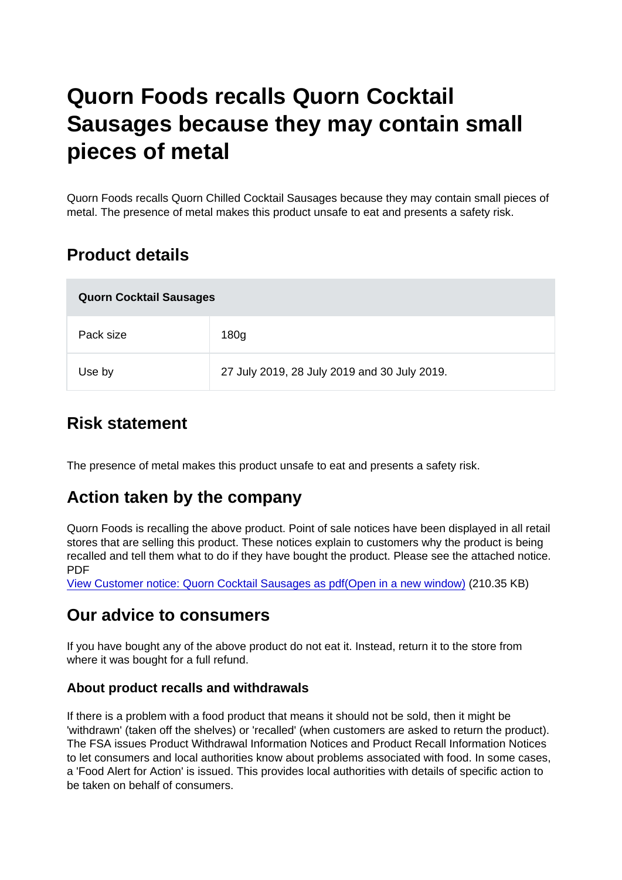# Quorn Foods recalls Quorn Cocktail Sausages because they may contain small pieces of metal

Quorn Foods recalls Quorn Chilled Cocktail Sausages because they may contain small pieces of metal. The presence of metal makes this product unsafe to eat and presents a safety risk.

## Product details

| <b>Quorn Cocktail Sausages</b> |                                              |
|--------------------------------|----------------------------------------------|
| Pack size                      | 180 <sub>g</sub>                             |
| Use by                         | 27 July 2019, 28 July 2019 and 30 July 2019. |

### Risk statement

The presence of metal makes this product unsafe to eat and presents a safety risk.

#### Action taken by the company

Quorn Foods is recalling the above product. Point of sale notices have been displayed in all retail stores that are selling this product. These notices explain to customers why the product is being recalled and tell them what to do if they have bought the product. Please see the attached notice. PDF

[View Customer notice: Quorn Cocktail Sausages as pdf\(Open in a new window\)](https://s3-eu-west-1.amazonaws.com/fsa-alerts-files/production/FSA-PRIN-35-2019/FSA-PRIN-35-2019-Quorn-Foods-recalls-Quorn-Cocktail-Sausages-because-they-may-contain-small-pieces-of-metal-002.pdf) (210.35 KB)

#### Our advice to consumers

If you have bought any of the above product do not eat it. Instead, return it to the store from where it was bought for a full refund.

#### About product recalls and withdrawals

If there is a problem with a food product that means it should not be sold, then it might be 'withdrawn' (taken off the shelves) or 'recalled' (when customers are asked to return the product). The FSA issues Product Withdrawal Information Notices and Product Recall Information Notices to let consumers and local authorities know about problems associated with food. In some cases, a 'Food Alert for Action' is issued. This provides local authorities with details of specific action to be taken on behalf of consumers.